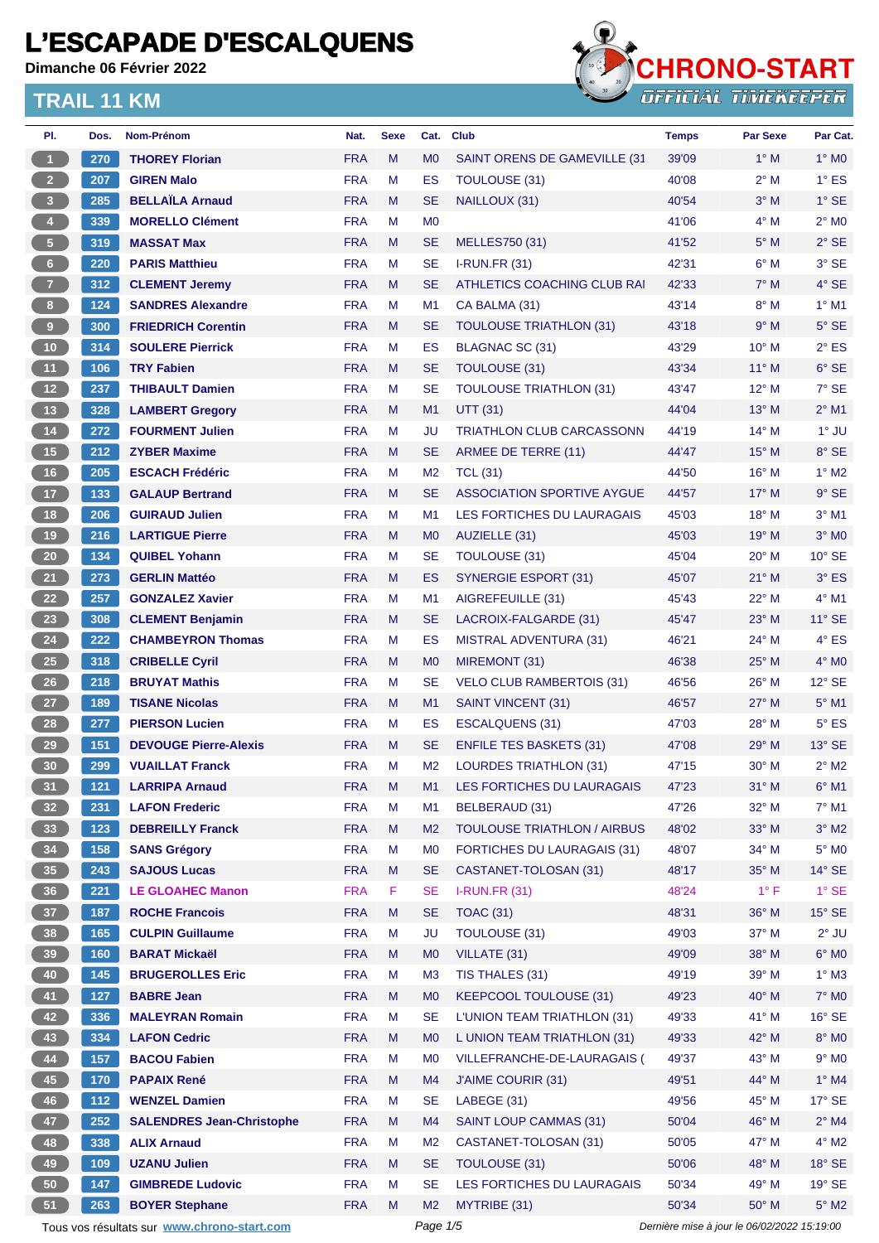**Dimanche 06 Février 2022**



| PI.                     | Dos.  | Nom-Prénom                                  | Nat.       | <b>Sexe</b> | Cat.           | <b>Club</b>                        | <b>Temps</b>                                | <b>Par Sexe</b> | Par Cat.        |
|-------------------------|-------|---------------------------------------------|------------|-------------|----------------|------------------------------------|---------------------------------------------|-----------------|-----------------|
| $\blacktriangleleft$    | 270   | <b>THOREY Florian</b>                       | <b>FRA</b> | M           | M <sub>0</sub> | SAINT ORENS DE GAMEVILLE (31       | 39'09                                       | $1^\circ$ M     | $1^\circ$ MO    |
| 2 <sup>7</sup>          | 207   | <b>GIREN Malo</b>                           | <b>FRA</b> | M           | <b>ES</b>      | <b>TOULOUSE (31)</b>               | 40'08                                       | $2^{\circ}$ M   | $1^\circ$ ES    |
| $\overline{\mathbf{3}}$ | 285   | <b>BELLAÏLA Arnaud</b>                      | <b>FRA</b> | M           | <b>SE</b>      | NAILLOUX (31)                      | 40'54                                       | $3^\circ$ M     | $1^\circ$ SE    |
| $\overline{4}$          | 339   | <b>MORELLO Clément</b>                      | <b>FRA</b> | М           | M <sub>0</sub> |                                    | 41'06                                       | $4^\circ$ M     | $2^{\circ}$ MO  |
| $\sqrt{5}$              | 319   | <b>MASSAT Max</b>                           | <b>FRA</b> | M           | <b>SE</b>      | MELLES750 (31)                     | 41'52                                       | $5^\circ$ M     | $2°$ SE         |
| 6 <sup>1</sup>          | 220   | <b>PARIS Matthieu</b>                       | <b>FRA</b> | M           | <b>SE</b>      | <b>I-RUN.FR (31)</b>               | 42'31                                       | $6^\circ$ M     | $3°$ SE         |
| $\overline{7}$          | 312   | <b>CLEMENT Jeremy</b>                       | <b>FRA</b> | M           | <b>SE</b>      | ATHLETICS COACHING CLUB RAI        | 42'33                                       | $7^\circ$ M     | $4°$ SE         |
| $\bf{8}$                | 124   | <b>SANDRES Alexandre</b>                    | <b>FRA</b> | M           | M1             | CA BALMA (31)                      | 43'14                                       | $8^\circ$ M     | $1^\circ$ M1    |
| $\overline{9}$          | 300   | <b>FRIEDRICH Corentin</b>                   | <b>FRA</b> | M           | <b>SE</b>      | <b>TOULOUSE TRIATHLON (31)</b>     | 43'18                                       | 9° M            | $5^\circ$ SE    |
| $10$                    | 314   | <b>SOULERE Pierrick</b>                     | <b>FRA</b> | М           | ES             | BLAGNAC SC (31)                    | 43'29                                       | $10^{\circ}$ M  | $2^{\circ}$ ES  |
| 11                      | 106   | <b>TRY Fabien</b>                           | <b>FRA</b> | M           | <b>SE</b>      | <b>TOULOUSE (31)</b>               | 43'34                                       | $11^{\circ}$ M  | 6° SE           |
| 12 <sup>7</sup>         | 237   | <b>THIBAULT Damien</b>                      | <b>FRA</b> | М           | <b>SE</b>      | <b>TOULOUSE TRIATHLON (31)</b>     | 43'47                                       | $12^{\circ}$ M  | $7°$ SE         |
| 13                      | 328   | <b>LAMBERT Gregory</b>                      | <b>FRA</b> | M           | M1             | <b>UTT (31)</b>                    | 44'04                                       | 13° M           | $2^{\circ}$ M1  |
| $14$                    | 272   | <b>FOURMENT Julien</b>                      | <b>FRA</b> | М           | JU             | <b>TRIATHLON CLUB CARCASSONN</b>   | 44'19                                       | $14^{\circ}$ M  | $1^\circ$ JU    |
| 15                      | 212   | <b>ZYBER Maxime</b>                         | <b>FRA</b> | M           | <b>SE</b>      | ARMEE DE TERRE (11)                | 44'47                                       | $15^{\circ}$ M  | $8°$ SE         |
| 16                      | 205   | <b>ESCACH Frédéric</b>                      | <b>FRA</b> | М           | M <sub>2</sub> | <b>TCL (31)</b>                    | 44'50                                       | $16^{\circ}$ M  | $1^\circ$ M2    |
| 17                      | 133   | <b>GALAUP Bertrand</b>                      | <b>FRA</b> | M           | <b>SE</b>      | ASSOCIATION SPORTIVE AYGUE         | 44'57                                       | $17^{\circ}$ M  | $9°$ SE         |
| 18                      | 206   | <b>GUIRAUD Julien</b>                       | <b>FRA</b> | М           | M1             | LES FORTICHES DU LAURAGAIS         | 45'03                                       | 18° M           | $3°$ M1         |
| 19                      | 216   | <b>LARTIGUE Pierre</b>                      | <b>FRA</b> | M           | M <sub>0</sub> | AUZIELLE (31)                      | 45'03                                       | 19° M           | $3°$ MO         |
| $20\,$                  | 134   | <b>QUIBEL Yohann</b>                        | <b>FRA</b> | М           | <b>SE</b>      | TOULOUSE (31)                      | 45'04                                       | 20° M           | $10^{\circ}$ SE |
| 21                      | 273   | <b>GERLIN Mattéo</b>                        | <b>FRA</b> | M           | <b>ES</b>      | <b>SYNERGIE ESPORT (31)</b>        | 45'07                                       | $21^{\circ}$ M  | $3°$ ES         |
| 22                      | 257   | <b>GONZALEZ Xavier</b>                      | <b>FRA</b> | M           | M1             | AIGREFEUILLE (31)                  | 45'43                                       | 22° M           | 4° M1           |
| 23                      | 308   | <b>CLEMENT Benjamin</b>                     | <b>FRA</b> | M           | <b>SE</b>      | LACROIX-FALGARDE (31)              | 45'47                                       | $23^\circ$ M    | $11^{\circ}$ SE |
| 24                      | 222   | <b>CHAMBEYRON Thomas</b>                    | <b>FRA</b> | М           | ES             | <b>MISTRAL ADVENTURA (31)</b>      | 46'21                                       | 24° M           | 4° ES           |
| 25                      | 318   | <b>CRIBELLE Cyril</b>                       | <b>FRA</b> | M           | M <sub>0</sub> | MIREMONT (31)                      | 46'38                                       | $25^{\circ}$ M  | $4^\circ$ MO    |
| 26                      | 218   | <b>BRUYAT Mathis</b>                        | <b>FRA</b> | М           | <b>SE</b>      | <b>VELO CLUB RAMBERTOIS (31)</b>   | 46'56                                       | $26^{\circ}$ M  | $12^{\circ}$ SE |
| 27                      | 189   | <b>TISANE Nicolas</b>                       | <b>FRA</b> | M           | M1             | <b>SAINT VINCENT (31)</b>          | 46'57                                       | $27^\circ$ M    | $5^{\circ}$ M1  |
| 28                      | 277   | <b>PIERSON Lucien</b>                       | <b>FRA</b> | м           | ES             | <b>ESCALQUENS (31)</b>             | 47'03                                       | 28° M           | $5^{\circ}$ ES  |
| 29                      | 151   | <b>DEVOUGE Pierre-Alexis</b>                | <b>FRA</b> | M           | <b>SE</b>      | <b>ENFILE TES BASKETS (31)</b>     | 47'08                                       | $29°$ M         | $13^\circ$ SE   |
| 30                      | 299   | <b>VUAILLAT Franck</b>                      | <b>FRA</b> | М           | M <sub>2</sub> | <b>LOURDES TRIATHLON (31)</b>      | 47'15                                       | $30^\circ$ M    | $2^{\circ}$ M2  |
| 31                      | 121   | <b>LARRIPA Arnaud</b>                       | <b>FRA</b> | M           | M1             | LES FORTICHES DU LAURAGAIS         | 47'23                                       | $31^\circ$ M    | $6^{\circ}$ M1  |
| 32                      | 231   | <b>LAFON Frederic</b>                       | <b>FRA</b> | M           | M <sub>1</sub> | BELBERAUD (31)                     | 47'26                                       | 32° M           | $7^\circ$ M1    |
| 33                      | 123   | <b>DEBREILLY Franck</b>                     | <b>FRA</b> | M           | M <sub>2</sub> | <b>TOULOUSE TRIATHLON / AIRBUS</b> | 48'02                                       | 33° M           | $3^\circ$ M2    |
| 34                      | $158$ | <b>SANS Grégory</b>                         | <b>FRA</b> | M           | M <sub>0</sub> | <b>FORTICHES DU LAURAGAIS (31)</b> | 48'07                                       | 34° M           | $5^\circ$ MO    |
| 35                      | 243   | <b>SAJOUS Lucas</b>                         | <b>FRA</b> | M           | <b>SE</b>      | CASTANET-TOLOSAN (31)              | 48'17                                       | 35° M           | $14^\circ$ SE   |
| 36 <sup>°</sup>         | 221   | <b>LE GLOAHEC Manon</b>                     | <b>FRA</b> | F.          | <b>SE</b>      | <b>I-RUN.FR (31)</b>               | 48'24                                       | $1^{\circ}$ F   | $1^\circ$ SE    |
| 37 <sup>°</sup>         | 187   | <b>ROCHE Francois</b>                       | <b>FRA</b> | M           | <b>SE</b>      | <b>TOAC (31)</b>                   | 48'31                                       | 36° M           | $15^\circ$ SE   |
| 38                      | 165   | <b>CULPIN Guillaume</b>                     | <b>FRA</b> | M           | <b>JU</b>      | <b>TOULOUSE (31)</b>               | 49'03                                       | 37° M           | $2^{\circ}$ JU  |
| 39                      | 160   | <b>BARAT Mickaël</b>                        | <b>FRA</b> | M           | M <sub>0</sub> | VILLATE (31)                       | 49'09                                       | 38° M           | $6^{\circ}$ MO  |
| 40                      | 145   | <b>BRUGEROLLES Eric</b>                     | <b>FRA</b> | М           | M <sub>3</sub> | TIS THALES (31)                    | 49'19                                       | 39° M           | $1^\circ$ M3    |
| 41                      | 127   | <b>BABRE Jean</b>                           | <b>FRA</b> | M           | M <sub>0</sub> | <b>KEEPCOOL TOULOUSE (31)</b>      | 49'23                                       | 40° M           | 7° M0           |
| 42                      | 336   | <b>MALEYRAN Romain</b>                      | <b>FRA</b> | M           | <b>SE</b>      | L'UNION TEAM TRIATHLON (31)        | 49'33                                       | 41° M           | 16° SE          |
| 43                      | 334   | <b>LAFON Cedric</b>                         | <b>FRA</b> | M           | M <sub>0</sub> | L UNION TEAM TRIATHLON (31)        | 49'33                                       | 42° M           | 8° MO           |
| 44                      | 157   | <b>BACOU Fabien</b>                         | <b>FRA</b> | M           | M <sub>0</sub> | VILLEFRANCHE-DE-LAURAGAIS (        | 49'37                                       | 43° M           | $9°$ MO         |
| $\bf 45$                | 170   | <b>PAPAIX René</b>                          | <b>FRA</b> | M           | M4             | <b>J'AIME COURIR (31)</b>          | 49'51                                       | 44° M           | $1^\circ$ M4    |
| 46                      | $112$ | <b>WENZEL Damien</b>                        | <b>FRA</b> | M           | <b>SE</b>      | LABEGE (31)                        | 49'56                                       | 45° M           | $17^\circ$ SE   |
| 47                      | 252   | <b>SALENDRES Jean-Christophe</b>            | <b>FRA</b> | M           | M4             | <b>SAINT LOUP CAMMAS (31)</b>      | 50'04                                       | 46° M           | $2^{\circ}$ M4  |
| 48                      | 338   | <b>ALIX Arnaud</b>                          | <b>FRA</b> | M           | M <sub>2</sub> | CASTANET-TOLOSAN (31)              | 50'05                                       | 47° M           | $4^\circ$ M2    |
| 49                      | 109   | <b>UZANU Julien</b>                         | <b>FRA</b> | M           | <b>SE</b>      | <b>TOULOUSE (31)</b>               | 50'06                                       | 48° M           | $18^\circ$ SE   |
| 50                      | 147   | <b>GIMBREDE Ludovic</b>                     | <b>FRA</b> | М           | <b>SE</b>      | LES FORTICHES DU LAURAGAIS         | 50'34                                       | 49° M           | $19°$ SE        |
| 51                      | 263   | <b>BOYER Stephane</b>                       | <b>FRA</b> | M           | M <sub>2</sub> | MYTRIBE (31)                       | 50'34                                       | 50° M           | $5^\circ$ M2    |
|                         |       | Tous vos résultats sur www.chrono-start.com |            |             | Page 1/5       |                                    | Dernière mise à jour le 06/02/2022 15:19:00 |                 |                 |
|                         |       |                                             |            |             |                |                                    |                                             |                 |                 |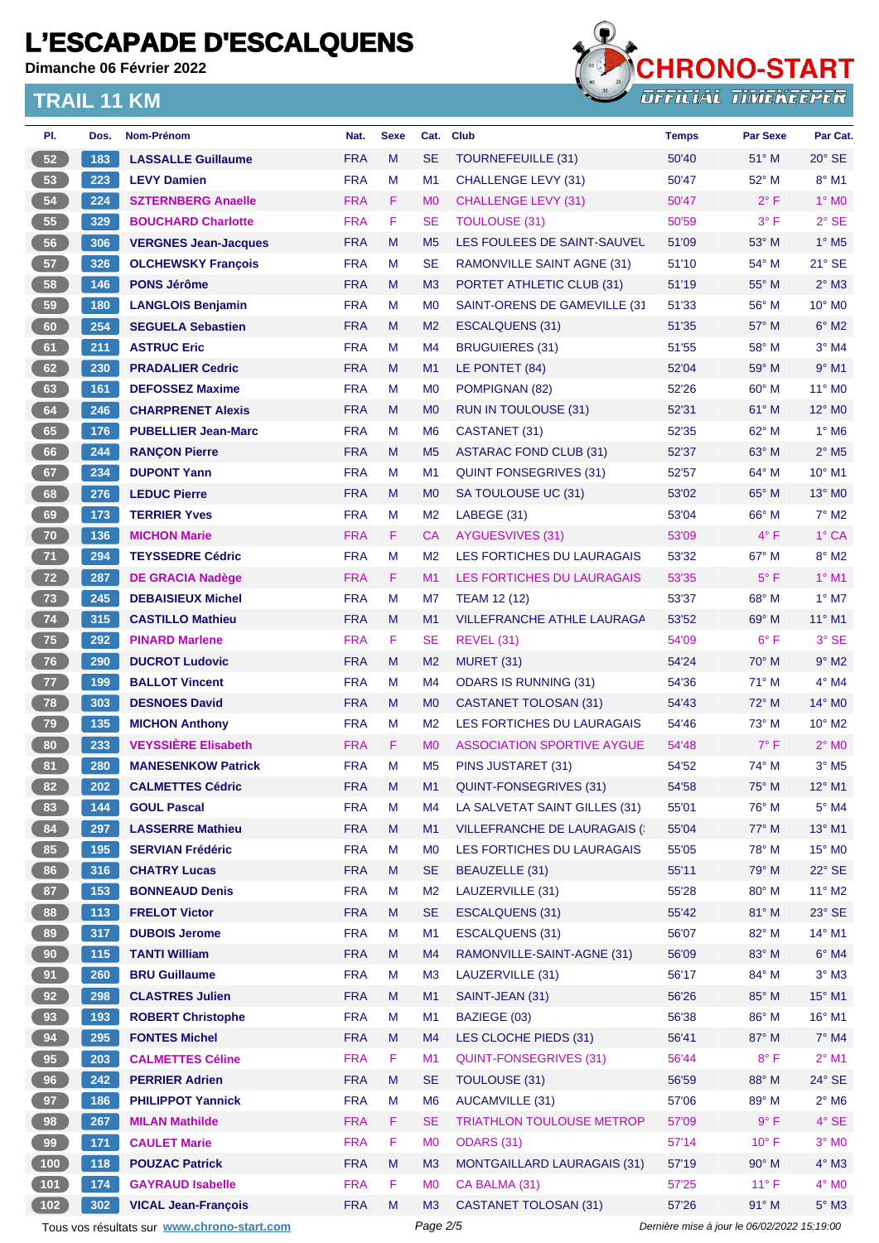**Dimanche 06 Février 2022**



| PI.             | Dos.  | Nom-Prénom                                  | Nat.       | <b>Sexe</b> | Cat.           | <b>Club</b>                        | <b>Temps</b>                                | <b>Par Sexe</b> | Par Cat.                   |
|-----------------|-------|---------------------------------------------|------------|-------------|----------------|------------------------------------|---------------------------------------------|-----------------|----------------------------|
| 52 <sub>2</sub> | 183   | <b>LASSALLE Guillaume</b>                   | <b>FRA</b> | M           | <b>SE</b>      | TOURNEFEUILLE (31)                 | 50'40                                       | $51^\circ$ M    | $20^\circ$ SE              |
| 53              | 223   | <b>LEVY Damien</b>                          | <b>FRA</b> | M           | M <sub>1</sub> | <b>CHALLENGE LEVY (31)</b>         | 50'47                                       | 52° M           | $8^\circ$ M1               |
| 54              | 224   | <b>SZTERNBERG Anaelle</b>                   | <b>FRA</b> | F.          | M <sub>0</sub> | <b>CHALLENGE LEVY (31)</b>         | 50'47                                       | $2^{\circ}$ F   | $1^\circ$ MO               |
| 55              | 329   | <b>BOUCHARD Charlotte</b>                   | <b>FRA</b> | F.          | SE             | <b>TOULOUSE (31)</b>               | 50'59                                       | $3^{\circ}$ F   | $2°$ SE                    |
| 56              | 306   | <b>VERGNES Jean-Jacques</b>                 | <b>FRA</b> | M           | M <sub>5</sub> | LES FOULEES DE SAINT-SAUVEL        | 51'09                                       | $53^\circ$ M    | $1^\circ$ M <sub>5</sub>   |
| 57              | 326   | <b>OLCHEWSKY François</b>                   | <b>FRA</b> | м           | <b>SE</b>      | RAMONVILLE SAINT AGNE (31)         | 51'10                                       | 54° M           | $21^\circ$ SE              |
| 58              | 146   | <b>PONS Jérôme</b>                          | <b>FRA</b> | M           | M3             | PORTET ATHLETIC CLUB (31)          | 51'19                                       | 55° M           | $2^{\circ}$ M3             |
| 59              | 180   | <b>LANGLOIS Benjamin</b>                    | <b>FRA</b> | M           | M <sub>0</sub> | SAINT-ORENS DE GAMEVILLE (31       | 51'33                                       | $56^{\circ}$ M  | $10^{\circ}$ MO            |
| 60              | 254   | <b>SEGUELA Sebastien</b>                    | <b>FRA</b> | M           | M <sub>2</sub> | <b>ESCALQUENS (31)</b>             | 51'35                                       | 57° M           | $6^\circ$ M2               |
| 61              | 211   | <b>ASTRUC Eric</b>                          | <b>FRA</b> | M           | M4             | <b>BRUGUIERES (31)</b>             | 51'55                                       | $58^\circ$ M    | $3°$ M4                    |
| 62              | 230   | <b>PRADALIER Cedric</b>                     | <b>FRA</b> | M           | M1             | LE PONTET (84)                     | 52'04                                       | 59° M           | $9°$ M1                    |
| 63              | 161   | <b>DEFOSSEZ Maxime</b>                      | <b>FRA</b> | М           | M <sub>0</sub> | POMPIGNAN (82)                     | 52'26                                       | 60° M           | 11° M0                     |
| 64              | 246   | <b>CHARPRENET Alexis</b>                    | <b>FRA</b> | M           | M <sub>0</sub> | <b>RUN IN TOULOUSE (31)</b>        | 52'31                                       | $61^\circ$ M    | $12^{\circ}$ MO            |
| 65              | 176   | <b>PUBELLIER Jean-Marc</b>                  | <b>FRA</b> | M           | M <sub>6</sub> | CASTANET (31)                      | 52'35                                       | 62° M           | $1^\circ$ M6               |
| 66              | 244   | <b>RANÇON Pierre</b>                        | <b>FRA</b> | M           | M <sub>5</sub> | <b>ASTARAC FOND CLUB (31)</b>      | 52'37                                       | $63^\circ$ M    | $2^{\circ}$ M <sub>5</sub> |
| 67              | 234   | <b>DUPONT Yann</b>                          | <b>FRA</b> | M           | M <sub>1</sub> | <b>QUINT FONSEGRIVES (31)</b>      | 52'57                                       | 64° M           | 10° M1                     |
| 68              | 276   | <b>LEDUC Pierre</b>                         | <b>FRA</b> | M           | M <sub>0</sub> | SA TOULOUSE UC (31)                | 53'02                                       | $65^\circ$ M    | $13^\circ$ MO              |
| 69              | 173   | <b>TERRIER Yves</b>                         | <b>FRA</b> | M           | M <sub>2</sub> | LABEGE (31)                        | 53'04                                       | 66° M           | $7^\circ$ M2               |
| 70              | 136   | <b>MICHON Marie</b>                         | <b>FRA</b> | F.          | СA             | <b>AYGUESVIVES (31)</b>            | 53'09                                       | $4^{\circ}$ F   | $1^\circ$ CA               |
| 71              | 294   | <b>TEYSSEDRE Cédric</b>                     | <b>FRA</b> | м           | M <sub>2</sub> | LES FORTICHES DU LAURAGAIS         | 53'32                                       | 67° M           | $8^\circ$ M2               |
| 72              | 287   | <b>DE GRACIA Nadège</b>                     | <b>FRA</b> | F           | M1             | LES FORTICHES DU LAURAGAIS         | 53'35                                       | $5^{\circ}$ F   | $1°$ M1                    |
| 73              | 245   | <b>DEBAISIEUX Michel</b>                    | <b>FRA</b> | M           | M7             | <b>TEAM 12 (12)</b>                | 53'37                                       | 68° M           | $1^\circ$ M7               |
| 74              | 315   | <b>CASTILLO Mathieu</b>                     | <b>FRA</b> | M           | M1             | <b>VILLEFRANCHE ATHLE LAURAGA</b>  | 53'52                                       | $69^\circ$ M    | 11° M1                     |
| 75              | 292   | <b>PINARD Marlene</b>                       | <b>FRA</b> | F.          | <b>SE</b>      | <b>REVEL (31)</b>                  | 54'09                                       | $6^{\circ}$ F   | 3° SE                      |
| 76              | 290   | <b>DUCROT Ludovic</b>                       | <b>FRA</b> | M           | M <sub>2</sub> | MURET (31)                         | 54'24                                       | $70^\circ$ M    | $9^\circ$ M2               |
| 77              | 199   | <b>BALLOT Vincent</b>                       | <b>FRA</b> | M           | M4             | <b>ODARS IS RUNNING (31)</b>       | 54'36                                       | $71^\circ$ M    | 4° M4                      |
| 78              | 303   | <b>DESNOES David</b>                        | <b>FRA</b> | M           | M <sub>0</sub> | CASTANET TOLOSAN (31)              | 54'43                                       | $72^\circ$ M    | $14^{\circ}$ MO            |
| 79              | 135   | <b>MICHON Anthony</b>                       | <b>FRA</b> | м           | M <sub>2</sub> | LES FORTICHES DU LAURAGAIS         | 54'46                                       | $73^\circ$ M    | $10^{\circ}$ M2            |
| 80              | 233   | <b>VEYSSIÈRE Elisabeth</b>                  | <b>FRA</b> | F           | M <sub>0</sub> | <b>ASSOCIATION SPORTIVE AYGUE</b>  | 54'48                                       | $7^\circ$ F     | $2°$ MO                    |
| 81              | 280   | <b>MANESENKOW Patrick</b>                   | <b>FRA</b> | M           | M <sub>5</sub> | PINS JUSTARET (31)                 | 54'52                                       | 74° M           | $3^\circ$ M <sub>5</sub>   |
| 82              | 202   | <b>CALMETTES Cédric</b>                     | <b>FRA</b> | M           | M1             | QUINT-FONSEGRIVES (31)             | 54'58                                       | 75° M           | 12° M1                     |
| 83              | 144   | <b>GOUL Pascal</b>                          | <b>FRA</b> | M           | M4             | LA SALVETAT SAINT GILLES (31)      | 55'01                                       | 76° M           | $5^\circ$ M4               |
| 84              | 297   | <b>LASSERRE Mathieu</b>                     | <b>FRA</b> | M           | M1             | <b>VILLEFRANCHE DE LAURAGAIS (</b> | 55'04                                       | 77° M           | 13° M1                     |
| 85              | 195   | <b>SERVIAN Frédéric</b>                     | <b>FRA</b> | M           | M <sub>0</sub> | LES FORTICHES DU LAURAGAIS         | 55'05                                       | 78° M           | 15° MO                     |
| 86              | 316   | <b>CHATRY Lucas</b>                         | <b>FRA</b> | M           | <b>SE</b>      | BEAUZELLE (31)                     | 55'11                                       | 79° M           | $22^\circ$ SE              |
| 87              | 153   | <b>BONNEAUD Denis</b>                       | <b>FRA</b> | M           | M <sub>2</sub> | LAUZERVILLE (31)                   | 55'28                                       | 80° M           | $11^{\circ}$ M2            |
| 88              | $113$ | <b>FRELOT Victor</b>                        | <b>FRA</b> | M           | <b>SE</b>      | <b>ESCALQUENS (31)</b>             | 55'42                                       | 81° M           | $23^\circ$ SE              |
| 89              | 317   | <b>DUBOIS Jerome</b>                        | <b>FRA</b> | M           | M1             | <b>ESCALQUENS (31)</b>             | 56'07                                       | 82° M           | $14^{\circ}$ M1            |
| 90              | 115   | <b>TANTI William</b>                        | <b>FRA</b> | M           | M4             | RAMONVILLE-SAINT-AGNE (31)         | 56'09                                       | 83° M           | $6^\circ$ M4               |
| 91              | 260   | <b>BRU Guillaume</b>                        | <b>FRA</b> | M           | M3             | LAUZERVILLE (31)                   | 56'17                                       | 84° M           | $3^\circ$ M3               |
| 92              | 298   | <b>CLASTRES Julien</b>                      | <b>FRA</b> | M           | M1             | SAINT-JEAN (31)                    | 56'26                                       | 85° M           | $15^{\circ}$ M1            |
| 93              | 193   | <b>ROBERT Christophe</b>                    | <b>FRA</b> | M           | M1             | BAZIEGE (03)                       | 56'38                                       | 86° M           | 16° M1                     |
| 94              | 295   | <b>FONTES Michel</b>                        | <b>FRA</b> | M           | M4             | LES CLOCHE PIEDS (31)              | 56'41                                       | 87° M           | $7^\circ$ M4               |
| 95              | 203   | <b>CALMETTES Céline</b>                     | <b>FRA</b> | F           | M1             | <b>QUINT-FONSEGRIVES (31)</b>      | 56'44                                       | $8^{\circ}$ F   | $2^{\circ}$ M1             |
| 96              | 242   | <b>PERRIER Adrien</b>                       | <b>FRA</b> | M           | <b>SE</b>      | <b>TOULOUSE (31)</b>               | 56'59                                       | 88° M           | 24° SE                     |
| 97              | 186   | <b>PHILIPPOT Yannick</b>                    | <b>FRA</b> | M           | M <sub>6</sub> | <b>AUCAMVILLE (31)</b>             | 57'06                                       | 89° M           | $2^{\circ}$ M6             |
| 98              | 267   | <b>MILAN Mathilde</b>                       | <b>FRA</b> | F.          | <b>SE</b>      | <b>TRIATHLON TOULOUSE METROP</b>   | 57'09                                       | 9° F            | $4^\circ$ SE               |
| 99              | 171   | <b>CAULET Marie</b>                         | <b>FRA</b> | F           | M <sub>0</sub> | ODARS (31)                         | 57'14                                       | $10^{\circ}$ F  | $3^\circ$ MO               |
| (100)           | 118   | <b>POUZAC Patrick</b>                       | <b>FRA</b> | M           | M3             | <b>MONTGAILLARD LAURAGAIS (31)</b> | 57'19                                       | 90° M           | $4^\circ$ M3               |
| 101             | 174   | <b>GAYRAUD Isabelle</b>                     | <b>FRA</b> | F           | M <sub>0</sub> | CA BALMA (31)                      | 57'25                                       | $11^{\circ}$ F  | $4^\circ$ MO               |
| (102)           | 302   | <b>VICAL Jean-François</b>                  | <b>FRA</b> | M           | M3             | <b>CASTANET TOLOSAN (31)</b>       | 57'26                                       | 91° M           | $5^\circ$ M3               |
|                 |       | Tous vos résultats sur www.chrono-start.com |            |             | Page 2/5       |                                    | Dernière mise à jour le 06/02/2022 15:19:00 |                 |                            |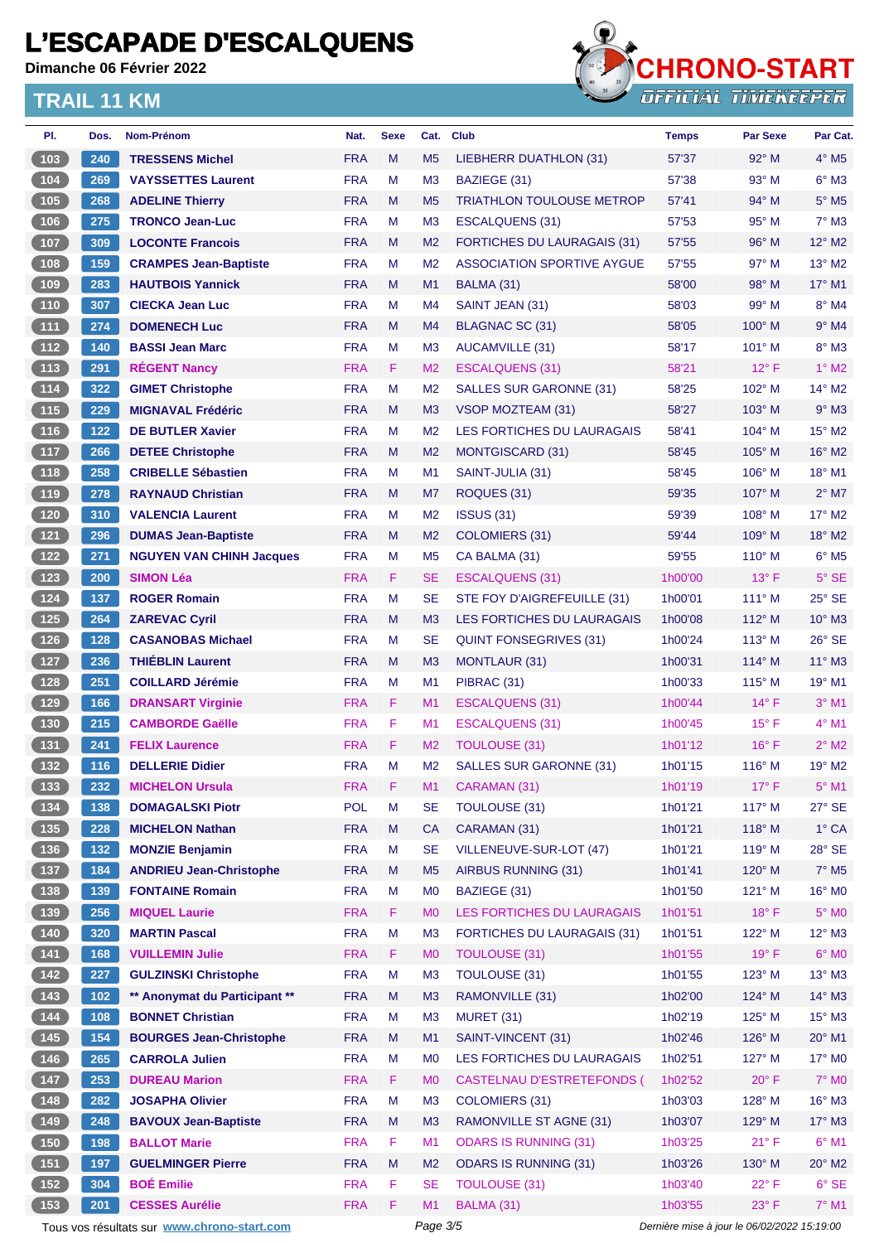**Dimanche 06 Février 2022**



| PI.                                                                         | Dos.       | Nom-Prénom                                    | Nat.                     | <b>Sexe</b> | Cat.                             | <b>Club</b>                                                     | <b>Temps</b>                                | <b>Par Sexe</b>        | Par Cat.                 |  |
|-----------------------------------------------------------------------------|------------|-----------------------------------------------|--------------------------|-------------|----------------------------------|-----------------------------------------------------------------|---------------------------------------------|------------------------|--------------------------|--|
| 103                                                                         | 240        | <b>TRESSENS Michel</b>                        | <b>FRA</b>               | M           | M <sub>5</sub>                   | LIEBHERR DUATHLON (31)                                          | 57'37                                       | $92^\circ$ M           | $4^\circ$ M <sub>5</sub> |  |
| 104                                                                         | 269        | <b>VAYSSETTES Laurent</b>                     | <b>FRA</b>               | M           | M <sub>3</sub>                   | BAZIEGE (31)                                                    | 57'38                                       | 93° M                  | $6^\circ$ M3             |  |
| 105                                                                         | 268        | <b>ADELINE Thierry</b>                        | <b>FRA</b>               | M           | M <sub>5</sub>                   | <b>TRIATHLON TOULOUSE METROP</b>                                | 57'41                                       | $94^\circ$ M           | $5^\circ$ M <sub>5</sub> |  |
| 106                                                                         | 275        | <b>TRONCO Jean-Luc</b>                        | <b>FRA</b>               | M           | M <sub>3</sub>                   | <b>ESCALQUENS (31)</b>                                          | 57'53                                       | $95^\circ$ M           | $7^\circ$ M3             |  |
| $107$                                                                       | 309        | <b>LOCONTE Francois</b>                       | <b>FRA</b>               | M           | M <sub>2</sub>                   | FORTICHES DU LAURAGAIS (31)                                     | 57'55                                       | $96^\circ$ M           | 12° M2                   |  |
| 108                                                                         | 159        | <b>CRAMPES Jean-Baptiste</b>                  | <b>FRA</b>               | M           | M <sub>2</sub>                   | <b>ASSOCIATION SPORTIVE AYGUE</b>                               | 57'55                                       | $97^\circ$ M           | 13° M2                   |  |
| (109)                                                                       | 283        | <b>HAUTBOIS Yannick</b>                       | <b>FRA</b>               | M           | M1                               | BALMA (31)                                                      | 58'00                                       | 98° M                  | 17° M1                   |  |
| $\begin{array}{c} \n \textbf{110} \\ \end{array}$                           | 307        | <b>CIECKA Jean Luc</b>                        | <b>FRA</b>               | м           | M4                               | SAINT JEAN (31)                                                 | 58'03                                       | 99° M                  | $8^\circ$ M4             |  |
| (111)                                                                       | 274        | <b>DOMENECH Luc</b>                           | <b>FRA</b>               | M           | M4                               | BLAGNAC SC (31)                                                 | 58'05                                       | $100^\circ$ M          | $9°$ M4                  |  |
| 112                                                                         | 140        | <b>BASSI Jean Marc</b>                        | <b>FRA</b>               | м           | M <sub>3</sub>                   | <b>AUCAMVILLE (31)</b>                                          | 58'17                                       | $101^\circ$ M          | $8^\circ$ M3             |  |
| (113)                                                                       | 291        | <b>RÉGENT Nancy</b>                           | <b>FRA</b>               | F.          | M <sub>2</sub>                   | <b>ESCALQUENS (31)</b>                                          | 58'21                                       | $12^{\circ}$ F         | $1^\circ$ M2             |  |
| $\begin{array}{c} \boxed{114} \end{array}$                                  | 322        | <b>GIMET Christophe</b>                       | <b>FRA</b>               | м           | M <sub>2</sub>                   | SALLES SUR GARONNE (31)                                         | 58'25                                       | $102^\circ$ M          | 14° M2                   |  |
| (115)                                                                       | 229        | <b>MIGNAVAL Frédéric</b>                      | <b>FRA</b>               | M           | M <sub>3</sub>                   | VSOP MOZTEAM (31)                                               | 58'27                                       | $103^\circ$ M          | $9°$ M3                  |  |
| $\boxed{116}$                                                               | 122        | <b>DE BUTLER Xavier</b>                       | <b>FRA</b>               | M           | M <sub>2</sub>                   | LES FORTICHES DU LAURAGAIS                                      | 58'41                                       | $104^\circ$ M          | $15^{\circ}$ M2          |  |
| (117)                                                                       | 266        | <b>DETEE Christophe</b>                       | <b>FRA</b>               | M           | M <sub>2</sub>                   | <b>MONTGISCARD (31)</b>                                         | 58'45                                       | 105° M                 | $16^{\circ}$ M2          |  |
| $\boxed{118}$                                                               | 258        | <b>CRIBELLE Sébastien</b>                     | <b>FRA</b>               | М           | M <sub>1</sub>                   | SAINT-JULIA (31)                                                | 58'45                                       | $106^\circ$ M          | 18° M1                   |  |
| (119)                                                                       | 278        | <b>RAYNAUD Christian</b>                      | <b>FRA</b>               | M           | M7                               | ROQUES (31)                                                     | 59'35                                       | $107^\circ$ M          | $2^{\circ}$ M7           |  |
| 120                                                                         | 310        | <b>VALENCIA Laurent</b>                       | <b>FRA</b>               | м           | M <sub>2</sub>                   | <b>ISSUS (31)</b>                                               | 59'39                                       | $108^\circ$ M          | $17^\circ$ M2            |  |
| 121                                                                         | 296        | <b>DUMAS Jean-Baptiste</b>                    | <b>FRA</b>               | M           | M <sub>2</sub>                   | <b>COLOMIERS (31)</b>                                           | 59'44                                       | $109^\circ$ M          | 18° M2                   |  |
| $122$                                                                       | 271        | <b>NGUYEN VAN CHINH Jacques</b>               | <b>FRA</b>               | M           | M <sub>5</sub>                   | CA BALMA (31)                                                   | 59'55                                       | $110^\circ$ M          | $6^\circ$ M5             |  |
| 123                                                                         | 200        | <b>SIMON Léa</b>                              | <b>FRA</b>               | F.          | SE                               | <b>ESCALQUENS (31)</b>                                          | 1h00'00                                     | $13^{\circ}$ F         | $5^\circ$ SE             |  |
| $124$                                                                       | 137        | <b>ROGER Romain</b>                           | <b>FRA</b>               | M           | <b>SE</b>                        | STE FOY D'AIGREFEUILLE (31)                                     | 1h00'01                                     | $111^\circ$ M          | $25^\circ$ SE            |  |
| 125                                                                         | 264        | <b>ZAREVAC Cyril</b>                          | <b>FRA</b>               | M           | M <sub>3</sub>                   | LES FORTICHES DU LAURAGAIS                                      | 1h00'08                                     | $112^{\circ}$ M        | $10^{\circ}$ M3          |  |
| $126$                                                                       | 128        | <b>CASANOBAS Michael</b>                      | <b>FRA</b>               | м           | <b>SE</b>                        | <b>QUINT FONSEGRIVES (31)</b>                                   | 1h00'24                                     | 113° M                 | $26^\circ$ SE            |  |
| 127                                                                         | 236        | <b>THIEBLIN Laurent</b>                       | <b>FRA</b>               | M           | M <sub>3</sub>                   | MONTLAUR (31)                                                   | 1h00'31                                     | $114^{\circ}$ M        | $11^{\circ}$ M3          |  |
| 128                                                                         | 251        | <b>COILLARD Jérémie</b>                       | <b>FRA</b>               | M           | M1                               | PIBRAC (31)                                                     | 1h00'33                                     | $115^\circ$ M          | 19° M1                   |  |
| $129$                                                                       | 166        | <b>DRANSART Virginie</b>                      | <b>FRA</b>               | F.          | M <sub>1</sub>                   | <b>ESCALQUENS (31)</b>                                          | 1h00'44                                     | $14^{\circ}$ F         | $3°$ M1                  |  |
| $\boxed{130}$                                                               | 215        | <b>CAMBORDE Gaëlle</b>                        | <b>FRA</b>               | F           | M <sub>1</sub>                   | <b>ESCALQUENS (31)</b>                                          | 1h00'45                                     | $15^{\circ}$ F         | $4°$ M1                  |  |
| (131)                                                                       | 241        | <b>FELIX Laurence</b>                         | <b>FRA</b>               | F.          | M <sub>2</sub>                   | <b>TOULOUSE (31)</b>                                            | 1h01'12                                     | $16^{\circ}$ F         | $2^{\circ}$ M2           |  |
| $132$                                                                       | 116        | <b>DELLERIE Didier</b>                        | <b>FRA</b>               | M           | M <sub>2</sub>                   | <b>SALLES SUR GARONNE (31)</b>                                  | 1h01'15                                     | $116^\circ$ M          | 19° M2                   |  |
| 133                                                                         | 232        | <b>MICHELON Ursula</b>                        | <b>FRA</b>               | F.          | M <sub>1</sub>                   | CARAMAN (31)                                                    | 1h01'19                                     | $17^{\circ}$ F         | $5^\circ$ M1             |  |
| $134$                                                                       | 138        | <b>DOMAGALSKI Piotr</b>                       | <b>POL</b>               | M           | SE                               | <b>TOULOUSE (31)</b>                                            | 1h01'21                                     | $117^\circ$ M          | 27° SE                   |  |
| (135)                                                                       | 228        | <b>MICHELON Nathan</b>                        | <b>FRA</b>               | M           | CA                               | CARAMAN (31)                                                    | 1h01'21                                     | $118^\circ$ M          | $1^\circ$ CA             |  |
| $136$                                                                       | 132        | <b>MONZIE Benjamin</b>                        | <b>FRA</b>               | M           | <b>SE</b>                        | VILLENEUVE-SUR-LOT (47)                                         | 1h01'21                                     | 119° M                 | 28° SE                   |  |
| (137)                                                                       | 184        | <b>ANDRIEU Jean-Christophe</b>                | <b>FRA</b>               | M           | M <sub>5</sub>                   | AIRBUS RUNNING (31)                                             | 1h01'41                                     | 120° M                 | $7^\circ$ M <sub>5</sub> |  |
| $\begin{array}{c} \n \textbf{138}\n \end{array}$                            | 139        | <b>FONTAINE Romain</b>                        | <b>FRA</b>               | M           | M <sub>0</sub>                   | BAZIEGE (31)                                                    | 1h01'50                                     | $121^\circ$ M          | $16^{\circ}$ MO          |  |
| (139)                                                                       | 256        | <b>MIQUEL Laurie</b>                          | <b>FRA</b>               | F           | M <sub>0</sub>                   | <b>LES FORTICHES DU LAURAGAIS</b>                               | 1h01'51                                     | $18^{\circ}$ F         | $5^\circ$ MO             |  |
| $140$                                                                       | 320        | <b>MARTIN Pascal</b>                          | <b>FRA</b>               | M           | M <sub>3</sub>                   | <b>FORTICHES DU LAURAGAIS (31)</b>                              | 1h01'51                                     | 122° M                 | $12^{\circ}$ M3          |  |
| (141)                                                                       | 168        | <b>VUILLEMIN Julie</b>                        | <b>FRA</b>               | F.          | M <sub>0</sub>                   | <b>TOULOUSE (31)</b>                                            | 1h01'55                                     | $19°$ F                | $6^\circ$ MO             |  |
| $\begin{array}{c} \n \textbf{142}\n \end{array}$                            | 227        | <b>GULZINSKI Christophe</b>                   | <b>FRA</b>               | M           | M <sub>3</sub>                   | TOULOUSE (31)                                                   | 1h01'55                                     | $123^\circ$ M          | $13^\circ$ M3            |  |
| (143)                                                                       | 102        | ** Anonymat du Participant **                 | <b>FRA</b>               | M           | M <sub>3</sub>                   | RAMONVILLE (31)                                                 | 1h02'00                                     | 124° M                 | 14° M3                   |  |
| $\begin{array}{c} \n \begin{array}{c} \n 144 \n \end{array} \n \end{array}$ | 108        | <b>BONNET Christian</b>                       | <b>FRA</b>               | M           | M <sub>3</sub>                   | <b>MURET (31)</b>                                               | 1h02'19                                     | $125^\circ$ M          | $15^\circ$ M3            |  |
| 145                                                                         | 154        | <b>BOURGES Jean-Christophe</b>                | <b>FRA</b>               | M           | M1                               | SAINT-VINCENT (31)                                              | 1h02'46                                     | 126° M                 | $20^\circ$ M1            |  |
| $146$                                                                       |            |                                               |                          |             |                                  |                                                                 |                                             |                        |                          |  |
| 147                                                                         | 265<br>253 | <b>CARROLA Julien</b><br><b>DUREAU Marion</b> | <b>FRA</b><br><b>FRA</b> | M<br>F.     | M <sub>0</sub>                   | LES FORTICHES DU LAURAGAIS<br><b>CASTELNAU D'ESTRETEFONDS (</b> | 1h02'51<br>1h02'52                          | 127° M<br>$20^\circ$ F | 17° M0<br>$7^\circ$ MO   |  |
|                                                                             |            | <b>JOSAPHA Olivier</b>                        | <b>FRA</b>               | M           | M <sub>0</sub><br>M <sub>3</sub> | <b>COLOMIERS (31)</b>                                           | 1h03'03                                     | $128^\circ$ M          | 16° M3                   |  |
| $148$                                                                       | 282        |                                               |                          |             |                                  |                                                                 |                                             |                        |                          |  |
| (149)                                                                       | 248        | <b>BAVOUX Jean-Baptiste</b>                   | <b>FRA</b>               | M           | M <sub>3</sub>                   | RAMONVILLE ST AGNE (31)                                         | 1h03'07                                     | 129° M                 | $17^\circ$ M3            |  |
| 150                                                                         | 198        | <b>BALLOT Marie</b>                           | <b>FRA</b>               | F.          | M1                               | <b>ODARS IS RUNNING (31)</b>                                    | 1h03'25                                     | $21^{\circ}$ F         | $6^{\circ}$ M1           |  |
| $\begin{array}{c} \boxed{151} \end{array}$                                  | 197        | <b>GUELMINGER Pierre</b>                      | <b>FRA</b>               | M           | M <sub>2</sub>                   | <b>ODARS IS RUNNING (31)</b>                                    | 1h03'26                                     | $130^\circ$ M          | 20° M2                   |  |
| 152                                                                         | 304        | <b>BOÉ Emilie</b>                             | <b>FRA</b>               | F           | <b>SE</b>                        | <b>TOULOUSE (31)</b>                                            | 1h03'40                                     | 22°F                   | $6°$ SE                  |  |
| $\begin{array}{ c c }\n\hline\n153\n\end{array}$                            | 201        | <b>CESSES Aurélie</b>                         | <b>FRA</b>               | F.          | M <sub>1</sub>                   | BALMA (31)                                                      | 1h03'55                                     | $23^\circ$ F           | $7^\circ$ M1             |  |
|                                                                             |            | Tous vos résultats sur www.chrono-start.com   |                          |             | Page 3/5                         |                                                                 | Dernière mise à jour le 06/02/2022 15:19:00 |                        |                          |  |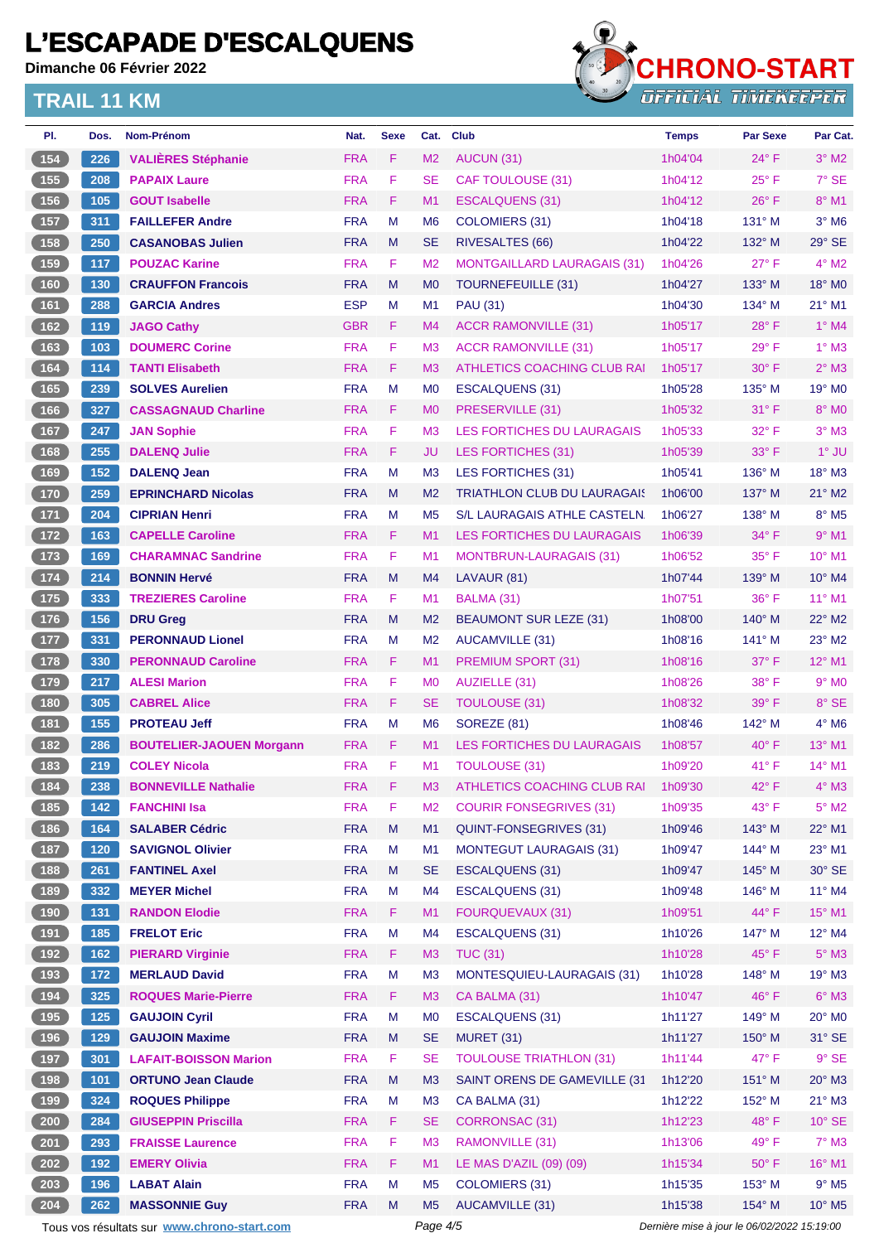**Dimanche 06 Février 2022**



| PI.                                               | Dos.  | Nom-Prénom                                  | Nat.       | <b>Sexe</b> | Cat.           | <b>Club</b>                               | <b>Temps</b>                                | <b>Par Sexe</b> | Par Cat.                    |
|---------------------------------------------------|-------|---------------------------------------------|------------|-------------|----------------|-------------------------------------------|---------------------------------------------|-----------------|-----------------------------|
| (154)                                             | 226   | <b>VALIÈRES Stéphanie</b>                   | <b>FRA</b> | F           | M <sub>2</sub> | AUCUN (31)                                | 1h04'04                                     | $24^{\circ}$ F  | $3°$ M2                     |
| 155                                               | 208   | <b>PAPAIX Laure</b>                         | <b>FRA</b> | F           | <b>SE</b>      | CAF TOULOUSE (31)                         | 1h04'12                                     | $25^{\circ}$ F  | $7°$ SE                     |
| 156                                               | 105   | <b>GOUT Isabelle</b>                        | <b>FRA</b> | F           | M1             | ESCALQUENS (31)                           | 1h04'12                                     | $26^{\circ}$ F  | $8^{\circ}$ M1              |
| 157                                               | 311   | <b>FAILLEFER Andre</b>                      | <b>FRA</b> | M           | M <sub>6</sub> | <b>COLOMIERS (31)</b>                     | 1h04'18                                     | $131^\circ$ M   | $3°$ M <sub>6</sub>         |
| (158)                                             | 250   | <b>CASANOBAS Julien</b>                     | <b>FRA</b> | M           | <b>SE</b>      | RIVESALTES (66)                           | 1h04'22                                     | 132° M          | 29° SE                      |
| 159                                               | 117   | <b>POUZAC Karine</b>                        | <b>FRA</b> | F           | M <sub>2</sub> | <b>MONTGAILLARD LAURAGAIS (31)</b>        | 1h04'26                                     | $27^\circ$ F    | $4^\circ$ M2                |
| (160)                                             | 130   | <b>CRAUFFON Francois</b>                    | <b>FRA</b> | M           | M <sub>0</sub> | <b>TOURNEFEUILLE (31)</b>                 | 1h04'27                                     | $133^\circ$ M   | $18^\circ$ MO               |
| $\boxed{161}$                                     | 288   | <b>GARCIA Andres</b>                        | <b>ESP</b> | М           | M <sub>1</sub> | <b>PAU (31)</b>                           | 1h04'30                                     | $134^\circ$ M   | $21^{\circ}$ M1             |
| (162)                                             | 119   | <b>JAGO Cathy</b>                           | <b>GBR</b> | F           | M <sub>4</sub> | <b>ACCR RAMONVILLE (31)</b>               | 1h05'17                                     | $28^{\circ}$ F  | $1^\circ$ M4                |
| 163                                               | 103   | <b>DOUMERC Corine</b>                       | <b>FRA</b> | F           | M <sub>3</sub> | <b>ACCR RAMONVILLE (31)</b>               | 1h05'17                                     | $29°$ F         | $1^\circ$ M3                |
| $\boxed{164}$                                     | 114   | <b>TANTI Elisabeth</b>                      | <b>FRA</b> | F           | M <sub>3</sub> | ATHLETICS COACHING CLUB RAI               | 1h05'17                                     | $30^\circ$ F    | $2°$ M3                     |
| 165                                               | 239   | <b>SOLVES Aurelien</b>                      | <b>FRA</b> | M           | M <sub>0</sub> | ESCALQUENS (31)                           | 1h05'28                                     | 135° M          | 19° M <sub>0</sub>          |
| (166)                                             | 327   | <b>CASSAGNAUD Charline</b>                  | <b>FRA</b> | F           | M <sub>0</sub> | PRESERVILLE (31)                          | 1h05'32                                     | $31^\circ$ F    | 8° MO                       |
| 167                                               | 247   | <b>JAN Sophie</b>                           | <b>FRA</b> | F           | M <sub>3</sub> | <b>LES FORTICHES DU LAURAGAIS</b>         | 1h05'33                                     | 32° F           | $3°$ M3                     |
| $\boxed{168}$                                     | 255   | <b>DALENQ Julie</b>                         | <b>FRA</b> | F           | JU             | <b>LES FORTICHES (31)</b>                 | 1h05'39                                     | $33^\circ$ F    | $1°$ JU                     |
| $\boxed{169}$                                     | 152   | <b>DALENQ Jean</b>                          | <b>FRA</b> | M           | M <sub>3</sub> | LES FORTICHES (31)                        | 1h05'41                                     | 136° M          | 18° M3                      |
| 170                                               | 259   | <b>EPRINCHARD Nicolas</b>                   | <b>FRA</b> | M           | M <sub>2</sub> | <b>TRIATHLON CLUB DU LAURAGAIS</b>        | 1h06'00                                     | $137^\circ$ M   | $21^\circ$ M <sub>2</sub>   |
| $\sqrt{171}$                                      | 204   | <b>CIPRIAN Henri</b>                        | <b>FRA</b> | M           | M <sub>5</sub> | S/L LAURAGAIS ATHLE CASTELN.              | 1h06'27                                     | 138° M          | $8^\circ$ M <sub>5</sub>    |
| 172                                               | 163   | <b>CAPELLE Caroline</b>                     | <b>FRA</b> | F           | M1             | <b>LES FORTICHES DU LAURAGAIS</b>         | 1h06'39                                     | $34^\circ$ F    | $9°$ M1                     |
| $\begin{array}{c} \boxed{173} \end{array}$        | 169   | <b>CHARAMNAC Sandrine</b>                   | <b>FRA</b> | F           | M <sub>1</sub> | MONTBRUN-LAURAGAIS (31)                   | 1h06'52                                     | $35^{\circ}$ F  | 10° M1                      |
| $174$                                             | 214   | <b>BONNIN Hervé</b>                         | <b>FRA</b> | M           | M <sub>4</sub> | LAVAUR (81)                               | 1h07'44                                     | 139° M          | 10° M4                      |
| $\boxed{175}$                                     | 333   | <b>TREZIERES Caroline</b>                   | <b>FRA</b> | F           | M1             | BALMA (31)                                | 1h07'51                                     | $36^{\circ}$ F  | $11^{\circ}$ M1             |
| (176)                                             | 156   | <b>DRU Greg</b>                             | <b>FRA</b> | M           | M <sub>2</sub> | <b>BEAUMONT SUR LEZE (31)</b>             | 1h08'00                                     | $140^\circ$ M   | 22° M2                      |
| $\sqrt{177}$                                      | 331   | <b>PERONNAUD Lionel</b>                     | <b>FRA</b> | M           | M <sub>2</sub> | AUCAMVILLE (31)                           | 1h08'16                                     | $141^\circ$ M   | $23^\circ$ M2               |
| 178                                               | 330   | <b>PERONNAUD Caroline</b>                   | <b>FRA</b> | F           | M1             | <b>PREMIUM SPORT (31)</b>                 | 1h08'16                                     | $37^\circ$ F    | 12° M1                      |
| $\boxed{179}$                                     | 217   | <b>ALESI Marion</b>                         | <b>FRA</b> | F           | M <sub>0</sub> | <b>AUZIELLE (31)</b>                      | 1h08'26                                     | 38° F           | $9°$ MO                     |
| (180)                                             | 305   | <b>CABREL Alice</b>                         | <b>FRA</b> | F           | <b>SE</b>      | <b>TOULOUSE (31)</b>                      | 1h08'32                                     | $39^\circ$ F    | 8° SE                       |
| (181)                                             | 155   | <b>PROTEAU Jeff</b>                         | <b>FRA</b> | M           | M <sub>6</sub> | SOREZE (81)                               | 1h08'46                                     | $142^\circ$ M   | $4^\circ$ M6                |
| (182)                                             | 286   | <b>BOUTELIER-JAOUEN Morgann</b>             | <b>FRA</b> | F.          | M <sub>1</sub> | <b>LES FORTICHES DU LAURAGAIS</b>         | 1h08'57                                     | $40^{\circ}$ F  | 13° M1                      |
| $\boxed{183}$                                     | 219   | <b>COLEY Nicola</b>                         | <b>FRA</b> | F           | M <sub>1</sub> | TOULOUSE (31)                             | 1h09'20                                     | 41°F            | 14° M1                      |
| 184                                               | 238   | <b>BONNEVILLE Nathalie</b>                  | <b>FRA</b> | F           | M <sub>3</sub> | ATHLETICS COACHING CLUB RAI               | 1h09'30                                     | $42^{\circ}$ F  | $4^\circ$ M3                |
| 185                                               | 142   | <b>FANCHINI Isa</b>                         | <b>FRA</b> | F           | M <sub>2</sub> | <b>COURIR FONSEGRIVES (31)</b>            | 1h09'35                                     | 43° F           | $5^\circ$ M2                |
| (186)                                             | 164   | <b>SALABER Cédric</b>                       | <b>FRA</b> | M           | M1             | <b>QUINT-FONSEGRIVES (31)</b>             | 1h09'46                                     | 143° M          | 22° M1                      |
|                                                   | 120   | <b>SAVIGNOL Olivier</b>                     | <b>FRA</b> | M           | M1             | <b>MONTEGUT LAURAGAIS (31)</b>            | 1h09'47                                     | 144° M          | 23° M1                      |
| $\begin{array}{c} \n \textbf{187} \\ \end{array}$ |       |                                             | <b>FRA</b> | M           | <b>SE</b>      |                                           | 1h09'47                                     | 145° M          | 30° SE                      |
| $\begin{array}{c} \boxed{188} \end{array}$        | 261   | <b>FANTINEL Axel</b>                        |            |             |                | ESCALQUENS (31)<br><b>ESCALQUENS (31)</b> |                                             | 146° M          |                             |
| $\begin{array}{c} \n \text{189}\n \end{array}$    | 332   | <b>MEYER Michel</b>                         | <b>FRA</b> | M           | M <sub>4</sub> | <b>FOURQUEVAUX (31)</b>                   | 1h09'48                                     |                 | 11° M4                      |
| (190)                                             | 131   | <b>RANDON Elodie</b>                        | <b>FRA</b> | F.          | M1             |                                           | 1h09'51                                     | 44° F           | 15° M1                      |
| (191)                                             | 185   | <b>FRELOT Eric</b>                          | <b>FRA</b> | M           | M4             | <b>ESCALQUENS (31)</b>                    | 1h10'26                                     | 147° M          | 12° M4                      |
| $\begin{array}{c} \boxed{192} \end{array}$        | 162   | <b>PIERARD Virginie</b>                     | <b>FRA</b> | F           | M <sub>3</sub> | <b>TUC (31)</b>                           | 1h10'28                                     | $45^{\circ}$ F  | $5^\circ$ M3                |
| $\begin{array}{c} \boxed{193} \end{array}$        | 172   | <b>MERLAUD David</b>                        | <b>FRA</b> | M           | M <sub>3</sub> | MONTESQUIEU-LAURAGAIS (31)                | 1h10'28                                     | 148° M          | 19° M3                      |
| (194)                                             | 325   | <b>ROQUES Marie-Pierre</b>                  | <b>FRA</b> | F.          | M <sub>3</sub> | CA BALMA (31)                             | 1h10'47                                     | 46°F            | $6^\circ$ M3                |
| $195$                                             | $125$ | <b>GAUJOIN Cyril</b>                        | <b>FRA</b> | M           | M <sub>0</sub> | <b>ESCALQUENS (31)</b>                    | 1h11'27                                     | 149° M          | 20° M <sub>0</sub>          |
| (196)                                             | 129   | <b>GAUJOIN Maxime</b>                       | <b>FRA</b> | M           | <b>SE</b>      | <b>MURET (31)</b>                         | 1h11'27                                     | 150° M          | 31° SE                      |
| (197)                                             | 301   | <b>LAFAIT-BOISSON Marion</b>                | <b>FRA</b> | F           | <b>SE</b>      | <b>TOULOUSE TRIATHLON (31)</b>            | 1h11'44                                     | $47^\circ$ F    | $9°$ SE                     |
| (198)                                             | 101   | <b>ORTUNO Jean Claude</b>                   | <b>FRA</b> | M           | M <sub>3</sub> | SAINT ORENS DE GAMEVILLE (31              | 1h12'20                                     | 151° M          | $20^\circ$ M3               |
| $199$                                             | 324   | <b>ROQUES Philippe</b>                      | <b>FRA</b> | M           | M <sub>3</sub> | CA BALMA (31)                             | 1h12'22                                     | 152° M          | $21^{\circ}$ M3             |
| $\left( 200 \right)$                              | 284   | <b>GIUSEPPIN Priscilla</b>                  | <b>FRA</b> | F.          | <b>SE</b>      | <b>CORRONSAC (31)</b>                     | 1h12'23                                     | $48^\circ$ F    | $10^{\circ}$ SE             |
| $201$                                             | 293   | <b>FRAISSE Laurence</b>                     | <b>FRA</b> | F           | M <sub>3</sub> | RAMONVILLE (31)                           | 1h13'06                                     | 49° F           | $7^\circ$ M3                |
| 202                                               | 192   | <b>EMERY Olivia</b>                         | <b>FRA</b> | F           | M1             | LE MAS D'AZIL (09) (09)                   | 1h15'34                                     | $50^\circ$ F    | 16° M1                      |
| 203                                               | 196   | <b>LABAT Alain</b>                          | <b>FRA</b> | M           | M <sub>5</sub> | <b>COLOMIERS (31)</b>                     | 1h15'35                                     | 153° M          | $9°$ M <sub>5</sub>         |
| 204                                               | 262   | <b>MASSONNIE Guy</b>                        | <b>FRA</b> | M           | M <sub>5</sub> | AUCAMVILLE (31)                           | 1h15'38                                     | 154° M          | $10^{\circ}$ M <sub>5</sub> |
|                                                   |       | Tous vos résultats sur www.chrono-start.com |            |             | Page 4/5       |                                           | Dernière mise à jour le 06/02/2022 15:19:00 |                 |                             |